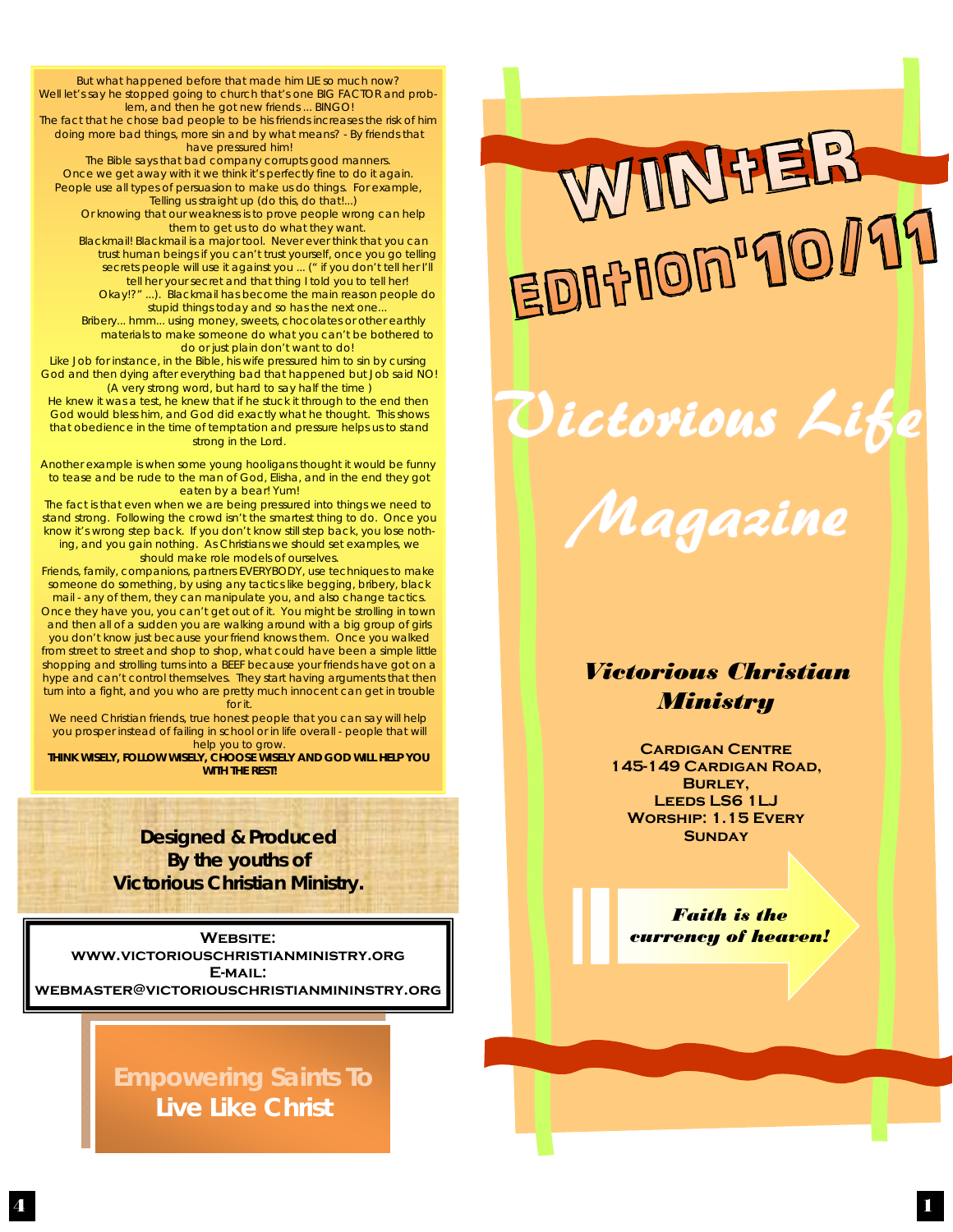addone that happened before that haddenlined so much flow.<br>Well let's say he stopped going to church that's one BIG FACTOR and prob-But what happened before that made him LIE so much now? lem, and then he got new friends ... BINGO! The fact that he chose bad people to be his friends increases the risk of him doing more bad things, more sin and by what means? - By friends that have pressured him! The Bible says that bad company corrupts good manners. Once we get away with it we think it's perfectly fine to do it again. People use all types of persuasion to make us do things. For example, Telling us straight up (do this, do that!...) Or knowing that our weakness is to prove people wrong can help them to get us to do what they want. Blackmail! Blackmail is a major tool. Never ever think that you can trust human beings if you can't trust yourself, once you go telling secrets people will use it against you ... (" if you don't tell her I'll tell her your secret and that thing I told you to tell her! Okay!?" ...). Blackmail has become the main reason people do stupid things today and so has the next one. Bribery... hmm... using money, sweets, chocolates or other earthly materials to make someone do what you can't be bothered to do or just plain don't want to do! Like Job for instance, in the Bible, his wife pressured him to sin by cursing God and then dying after everything bad that happened but Job said NO! (A very strong word, but hard to say half the time ) He knew it was a test, he knew that if he stuck it through to the end then God would bless him, and God did exactly what he thought. This shows that obedience in the time of temptation and pressure helps us to stand strong in the Lord. Another example is when some young hooligans thought it would be funny to tease and be rude to the man of God, Elisha, and in the end they got

eaten by a bear! Yum! The fact is that even when we are being pressured into things we need to stand strong. Following the crowd isn't the smartest thing to do. Once you know it's wrong step back. If you don't know still step back, you lose nothing, and you gain nothing. As Christians we should set examples, we should make role models of ourselves.

Friends, family, companions, partners EVERYBODY, use techniques to make someone do something, by using any tactics like begging, bribery, black

mail - any of them, they can manipulate you, and also change tactics. Once they have you, you can't get out of it. You might be strolling in town and then all of a sudden you are walking around with a big group of girls you don't know just because your friend knows them. Once you walked from street to street and shop to shop, what could have been a simple little shopping and strolling turns into a BEEF because your friends have got on a hype and can't control themselves. They start having arguments that then turn into a fight, and you who are pretty much innocent can get in trouble for it.

We need Christian friends, true honest people that you can say will help you prosper instead of failing in school or in life overall - people that will help you to grow.

**THINK WISELY, FOLLOW WISELY, CHOOSE WISELY AND GOD WILL HELP YOU WITH THE REST!** 

> *Designed & Produced By the youths of Victorious Christian Ministry.*

WEBSITE: **www.victoriouschristianministry.org E-mail: webmaster@victoriouschristianmininstry.org** 

> **Empowering Saints To Live Like Christ**

WINHER ED0700790079

Dictorious Life

Magazine

## *Victorious Christian Ministry*

**Cardigan Centre 145-149 Cardigan Road, Burley, Leeds LS6 1LJ Worship: 1.15 Every SUNDAY** 

*Faith is the currency of heaven!*